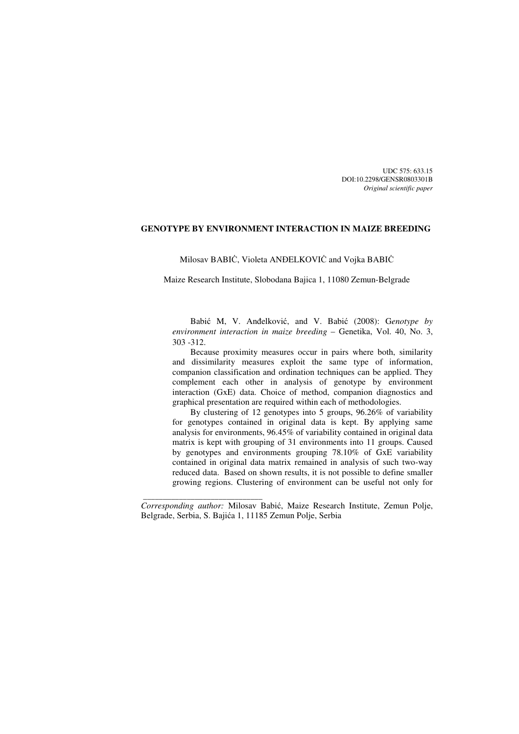UDC 575: 633.15 DOI:10.2298/GENSR0803301B *Original scientific paper* 

## **GENOTYPE BY ENVIRONMENT INTERACTION IN MAIZE BREEDING**

Milosav BABIĊ, Violeta ANĐELKOVIĊ and Vojka BABIĊ

Maize Research Institute, Slobodana Bajica 1, 11080 Zemun-Belgrade

Babić M, V. Anđelković, and V. Babić (2008): G*enotype by environment interaction in maize breeding* – Genetika, Vol. 40, No. 3, 303 -312.

Because proximity measures occur in pairs where both, similarity and dissimilarity measures exploit the same type of information, companion classification and ordination techniques can be applied. They complement each other in analysis of genotype by environment interaction (GxE) data. Choice of method, companion diagnostics and graphical presentation are required within each of methodologies.

By clustering of 12 genotypes into 5 groups, 96.26% of variability for genotypes contained in original data is kept. By applying same analysis for environments, 96.45% of variability contained in original data matrix is kept with grouping of 31 environments into 11 groups. Caused by genotypes and environments grouping 78.10% of GxE variability contained in original data matrix remained in analysis of such two-way reduced data. Based on shown results, it is not possible to define smaller growing regions. Clustering of environment can be useful not only for

*\_\_\_\_\_\_\_\_\_\_\_\_\_\_\_\_\_\_\_\_\_\_\_\_\_\_\_\_\_\_* 

*Corresponding author:* Milosav Babić, Maize Research Institute, Zemun Polje, Belgrade, Serbia, S. Bajića 1, 11185 Zemun Polje, Serbia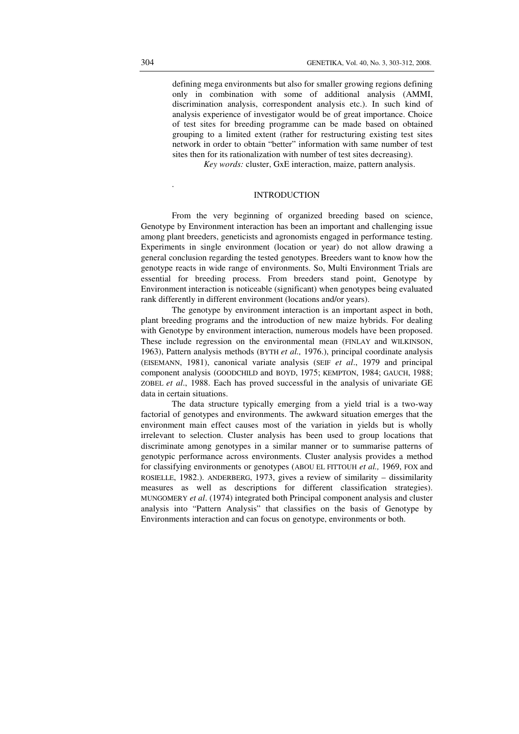defining mega environments but also for smaller growing regions defining only in combination with some of additional analysis (AMMI, discrimination analysis, correspondent analysis etc.). In such kind of analysis experience of investigator would be of great importance. Choice of test sites for breeding programme can be made based on obtained grouping to a limited extent (rather for restructuring existing test sites network in order to obtain "better" information with same number of test sites then for its rationalization with number of test sites decreasing).

*Key words:* cluster, GxE interaction, maize, pattern analysis.

# INTRODUCTION

From the very beginning of organized breeding based on science, Genotype by Environment interaction has been an important and challenging issue among plant breeders, geneticists and agronomists engaged in performance testing. Experiments in single environment (location or year) do not allow drawing a general conclusion regarding the tested genotypes. Breeders want to know how the genotype reacts in wide range of environments. So, Multi Environment Trials are essential for breeding process. From breeders stand point, Genotype by Environment interaction is noticeable (significant) when genotypes being evaluated rank differently in different environment (locations and/or years).

The genotype by environment interaction is an important aspect in both, plant breeding programs and the introduction of new maize hybrids. For dealing with Genotype by environment interaction, numerous models have been proposed. These include regression on the environmental mean (FINLAY and WILKINSON, 1963), Pattern analysis methods (BYTH *et al.,* 1976.), principal coordinate analysis (EISEMANN, 1981), canonical variate analysis (SEIF *et al*., 1979 and principal component analysis (GOODCHILD and BOYD, 1975; KEMPTON, 1984; GAUCH, 1988; ZOBEL *et al*., 1988. Each has proved successful in the analysis of univariate GE data in certain situations.

The data structure typically emerging from a yield trial is a two-way factorial of genotypes and environments. The awkward situation emerges that the environment main effect causes most of the variation in yields but is wholly irrelevant to selection. Cluster analysis has been used to group locations that discriminate among genotypes in a similar manner or to summarise patterns of genotypic performance across environments. Cluster analysis provides a method for classifying environments or genotypes (ABOU EL FITTOUH *et al.,* 1969, FOX and ROSIELLE, 1982.). ANDERBERG, 1973, gives a review of similarity – dissimilarity measures as well as descriptions for different classification strategies). MUNGOMERY *et al*. (1974) integrated both Principal component analysis and cluster analysis into "Pattern Analysis" that classifies on the basis of Genotype by Environments interaction and can focus on genotype, environments or both.

.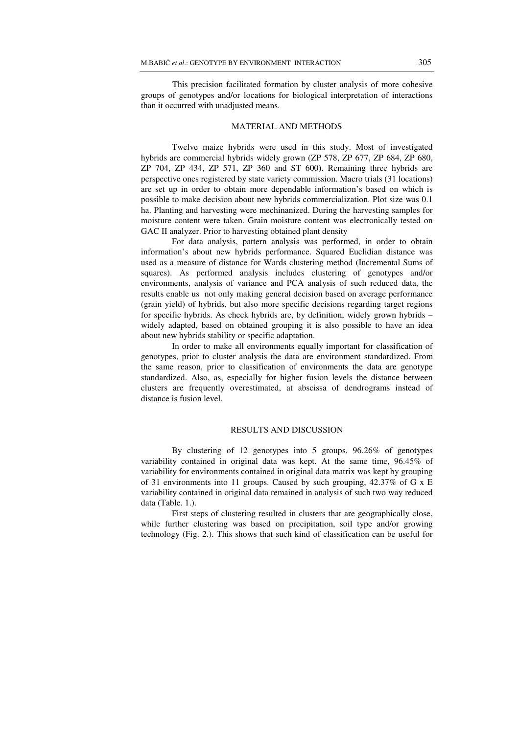This precision facilitated formation by cluster analysis of more cohesive groups of genotypes and/or locations for biological interpretation of interactions than it occurred with unadjusted means.

#### MATERIAL AND METHODS

Twelve maize hybrids were used in this study. Most of investigated hybrids are commercial hybrids widely grown (ZP 578, ZP 677, ZP 684, ZP 680, ZP 704, ZP 434, ZP 571, ZP 360 and ST 600). Remaining three hybrids are perspective ones registered by state variety commission. Macro trials (31 locations) are set up in order to obtain more dependable information's based on which is possible to make decision about new hybrids commercialization. Plot size was 0.1 ha. Planting and harvesting were mechinanized. During the harvesting samples for moisture content were taken. Grain moisture content was electronically tested on GAC II analyzer. Prior to harvesting obtained plant density

For data analysis, pattern analysis was performed, in order to obtain information's about new hybrids performance. Squared Euclidian distance was used as a measure of distance for Wards clustering method (Incremental Sums of squares). As performed analysis includes clustering of genotypes and/or environments, analysis of variance and PCA analysis of such reduced data, the results enable us not only making general decision based on average performance (grain yield) of hybrids, but also more specific decisions regarding target regions for specific hybrids. As check hybrids are, by definition, widely grown hybrids – widely adapted, based on obtained grouping it is also possible to have an idea about new hybrids stability or specific adaptation.

In order to make all environments equally important for classification of genotypes, prior to cluster analysis the data are environment standardized. From the same reason, prior to classification of environments the data are genotype standardized. Also, as, especially for higher fusion levels the distance between clusters are frequently overestimated, at abscissa of dendrograms instead of distance is fusion level.

### RESULTS AND DISCUSSION

By clustering of 12 genotypes into 5 groups, 96.26% of genotypes variability contained in original data was kept. At the same time, 96.45% of variability for environments contained in original data matrix was kept by grouping of 31 environments into 11 groups. Caused by such grouping,  $42.37\%$  of G x E variability contained in original data remained in analysis of such two way reduced data (Table. 1.).

First steps of clustering resulted in clusters that are geographically close, while further clustering was based on precipitation, soil type and/or growing technology (Fig. 2.). This shows that such kind of classification can be useful for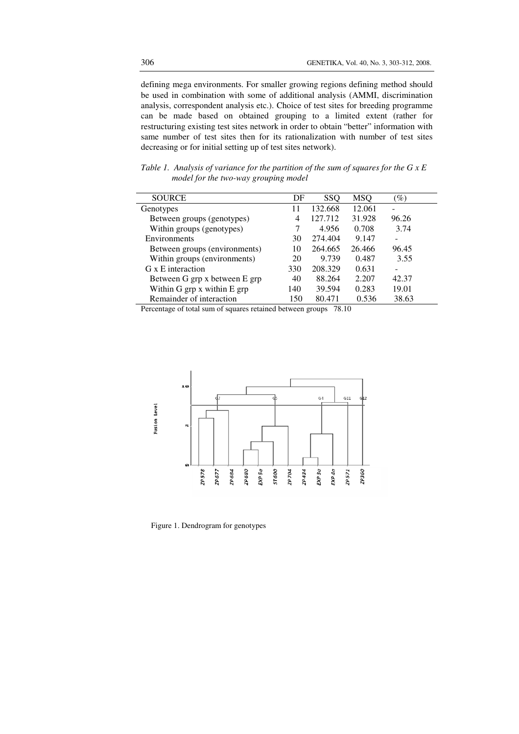defining mega environments. For smaller growing regions defining method should be used in combination with some of additional analysis (AMMI, discrimination analysis, correspondent analysis etc.). Choice of test sites for breeding programme can be made based on obtained grouping to a limited extent (rather for restructuring existing test sites network in order to obtain "better" information with same number of test sites then for its rationalization with number of test sites decreasing or for initial setting up of test sites network).

|  | Table 1. Analysis of variance for the partition of the sum of squares for the $G \times E$ |  |  |  |  |
|--|--------------------------------------------------------------------------------------------|--|--|--|--|
|  | model for the two-way grouping model                                                       |  |  |  |  |

| <b>SOURCE</b>                     | DF  | SSC     | MSO    | $\mathscr{Y}_o$ |
|-----------------------------------|-----|---------|--------|-----------------|
| Genotypes                         | 11  | 132.668 | 12.061 |                 |
| Between groups (genotypes)        | 4   | 127.712 | 31.928 | 96.26           |
| Within groups (genotypes)         |     | 4.956   | 0.708  | 3.74            |
| Environments                      | 30  | 274.404 | 9.147  | -               |
| Between groups (environments)     | 10  | 264.665 | 26.466 | 96.45           |
| Within groups (environments)      | 20  | 9.739   | 0.487  | 3.55            |
| G x E interaction                 | 330 | 208.329 | 0.631  |                 |
| Between G grp x between E grp     | 40  | 88.264  | 2.207  | 42.37           |
| Within $G$ grp $x$ within $E$ grp | 140 | 39.594  | 0.283  | 19.01           |
| Remainder of interaction          | 150 | 80.471  | 0.536  | 38.63           |

Percentage of total sum of squares retained between groups 78.10



Figure 1. Dendrogram for genotypes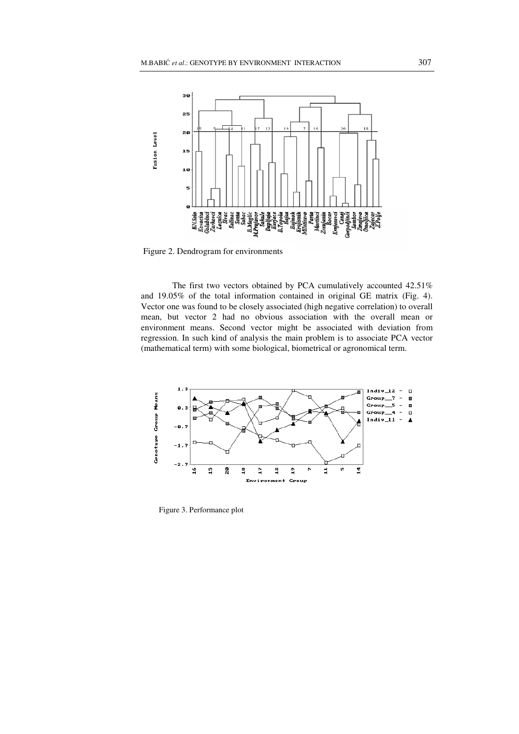

Figure 2. Dendrogram for environments

The first two vectors obtained by PCA cumulatively accounted 42.51% and 19.05% of the total information contained in original GE matrix (Fig. 4). Vector one was found to be closely associated (high negative correlation) to overall mean, but vector 2 had no obvious association with the overall mean or environment means. Second vector might be associated with deviation from regression. In such kind of analysis the main problem is to associate PCA vector (mathematical term) with some biological, biometrical or agronomical term.



Figure 3. Performance plot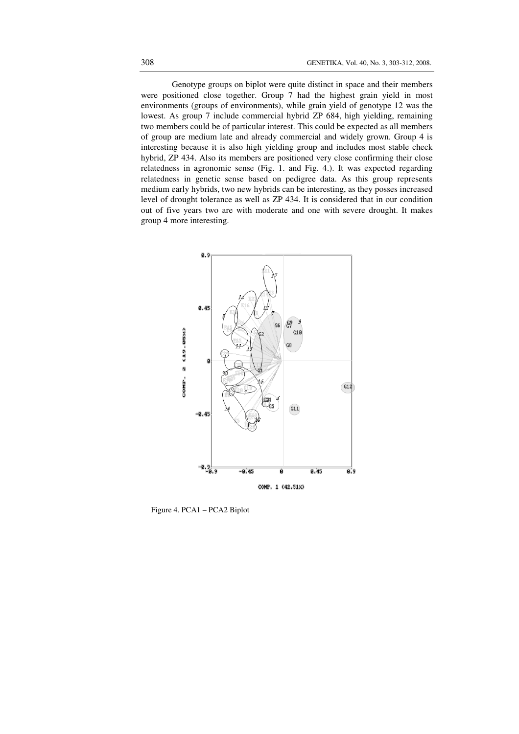Genotype groups on biplot were quite distinct in space and their members were positioned close together. Group 7 had the highest grain yield in most environments (groups of environments), while grain yield of genotype 12 was the lowest. As group 7 include commercial hybrid ZP 684, high yielding, remaining two members could be of particular interest. This could be expected as all members of group are medium late and already commercial and widely grown. Group 4 is interesting because it is also high yielding group and includes most stable check hybrid, ZP 434. Also its members are positioned very close confirming their close relatedness in agronomic sense (Fig. 1. and Fig. 4.). It was expected regarding relatedness in genetic sense based on pedigree data. As this group represents medium early hybrids, two new hybrids can be interesting, as they posses increased level of drought tolerance as well as ZP 434. It is considered that in our condition out of five years two are with moderate and one with severe drought. It makes group 4 more interesting.



Figure 4. PCA1 – PCA2 Biplot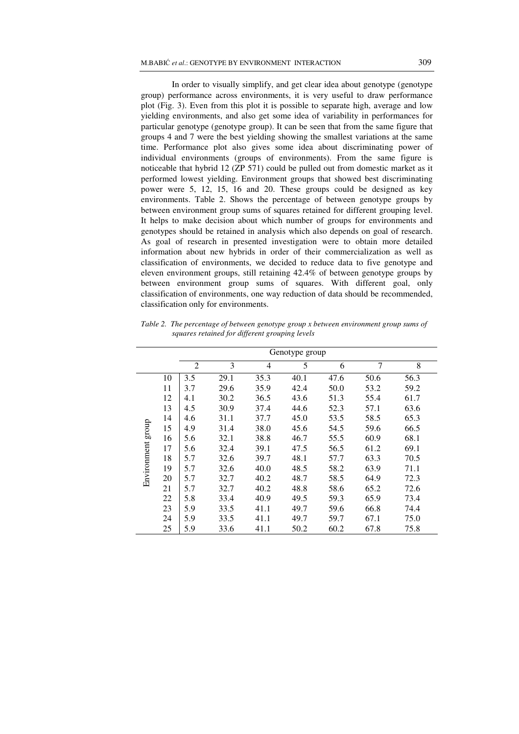In order to visually simplify, and get clear idea about genotype (genotype group) performance across environments, it is very useful to draw performance plot (Fig. 3). Even from this plot it is possible to separate high, average and low yielding environments, and also get some idea of variability in performances for particular genotype (genotype group). It can be seen that from the same figure that groups 4 and 7 were the best yielding showing the smallest variations at the same time. Performance plot also gives some idea about discriminating power of individual environments (groups of environments). From the same figure is noticeable that hybrid 12 (ZP 571) could be pulled out from domestic market as it performed lowest yielding. Environment groups that showed best discriminating power were 5, 12, 15, 16 and 20. These groups could be designed as key environments. Table 2. Shows the percentage of between genotype groups by between environment group sums of squares retained for different grouping level. It helps to make decision about which number of groups for environments and genotypes should be retained in analysis which also depends on goal of research. As goal of research in presented investigation were to obtain more detailed information about new hybrids in order of their commercialization as well as classification of environments, we decided to reduce data to five genotype and eleven environment groups, still retaining 42.4% of between genotype groups by between environment group sums of squares. With different goal, only classification of environments, one way reduction of data should be recommended, classification only for environments.

|                   |    | Genotype group |      |                |      |      |      |      |
|-------------------|----|----------------|------|----------------|------|------|------|------|
|                   |    | $\overline{2}$ | 3    | $\overline{4}$ | 5    | 6    | 7    | 8    |
| Environment group | 10 | 3.5            | 29.1 | 35.3           | 40.1 | 47.6 | 50.6 | 56.3 |
|                   | 11 | 3.7            | 29.6 | 35.9           | 42.4 | 50.0 | 53.2 | 59.2 |
|                   | 12 | 4.1            | 30.2 | 36.5           | 43.6 | 51.3 | 55.4 | 61.7 |
|                   | 13 | 4.5            | 30.9 | 37.4           | 44.6 | 52.3 | 57.1 | 63.6 |
|                   | 14 | 4.6            | 31.1 | 37.7           | 45.0 | 53.5 | 58.5 | 65.3 |
|                   | 15 | 4.9            | 31.4 | 38.0           | 45.6 | 54.5 | 59.6 | 66.5 |
|                   | 16 | 5.6            | 32.1 | 38.8           | 46.7 | 55.5 | 60.9 | 68.1 |
|                   | 17 | 5.6            | 32.4 | 39.1           | 47.5 | 56.5 | 61.2 | 69.1 |
|                   | 18 | 5.7            | 32.6 | 39.7           | 48.1 | 57.7 | 63.3 | 70.5 |
|                   | 19 | 5.7            | 32.6 | 40.0           | 48.5 | 58.2 | 63.9 | 71.1 |
|                   | 20 | 5.7            | 32.7 | 40.2           | 48.7 | 58.5 | 64.9 | 72.3 |
|                   | 21 | 5.7            | 32.7 | 40.2           | 48.8 | 58.6 | 65.2 | 72.6 |
|                   | 22 | 5.8            | 33.4 | 40.9           | 49.5 | 59.3 | 65.9 | 73.4 |
|                   | 23 | 5.9            | 33.5 | 41.1           | 49.7 | 59.6 | 66.8 | 74.4 |
|                   | 24 | 5.9            | 33.5 | 41.1           | 49.7 | 59.7 | 67.1 | 75.0 |
|                   | 25 | 5.9            | 33.6 | 41.1           | 50.2 | 60.2 | 67.8 | 75.8 |

*Table 2. The percentage of between genotype group x between environment group sums of squares retained for different grouping levels*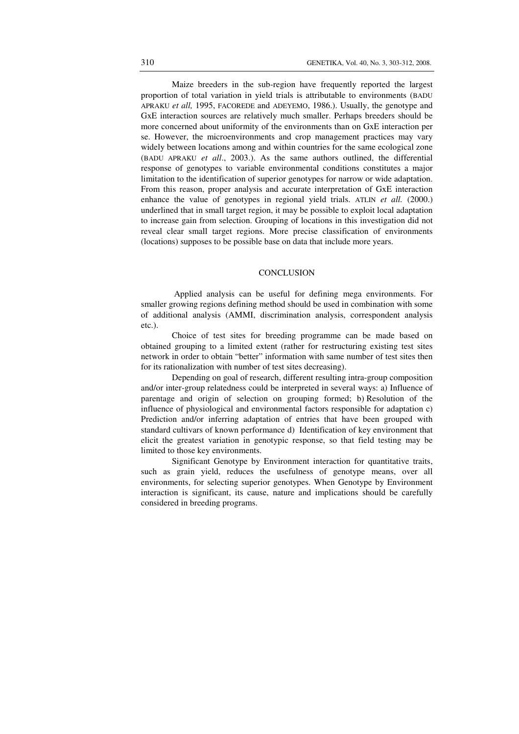Maize breeders in the sub-region have frequently reported the largest proportion of total variation in yield trials is attributable to environments (BADU APRAKU *et all,* 1995, FACOREDE and ADEYEMO, 1986.). Usually, the genotype and GxE interaction sources are relatively much smaller. Perhaps breeders should be more concerned about uniformity of the environments than on GxE interaction per se. However, the microenvironments and crop management practices may vary widely between locations among and within countries for the same ecological zone (BADU APRAKU *et all*., 2003.). As the same authors outlined, the differential response of genotypes to variable environmental conditions constitutes a major limitation to the identification of superior genotypes for narrow or wide adaptation. From this reason, proper analysis and accurate interpretation of GxE interaction enhance the value of genotypes in regional yield trials. ATLIN *et all.* (2000.) underlined that in small target region, it may be possible to exploit local adaptation to increase gain from selection. Grouping of locations in this investigation did not reveal clear small target regions. More precise classification of environments (locations) supposes to be possible base on data that include more years.

## **CONCLUSION**

 Applied analysis can be useful for defining mega environments. For smaller growing regions defining method should be used in combination with some of additional analysis (AMMI, discrimination analysis, correspondent analysis etc.).

Choice of test sites for breeding programme can be made based on obtained grouping to a limited extent (rather for restructuring existing test sites network in order to obtain "better" information with same number of test sites then for its rationalization with number of test sites decreasing).

Depending on goal of research, different resulting intra-group composition and/or inter-group relatedness could be interpreted in several ways: a) Influence of parentage and origin of selection on grouping formed; b) Resolution of the influence of physiological and environmental factors responsible for adaptation c) Prediction and/or inferring adaptation of entries that have been grouped with standard cultivars of known performance d) Identification of key environment that elicit the greatest variation in genotypic response, so that field testing may be limited to those key environments.

Significant Genotype by Environment interaction for quantitative traits, such as grain yield, reduces the usefulness of genotype means, over all environments, for selecting superior genotypes. When Genotype by Environment interaction is significant, its cause, nature and implications should be carefully considered in breeding programs.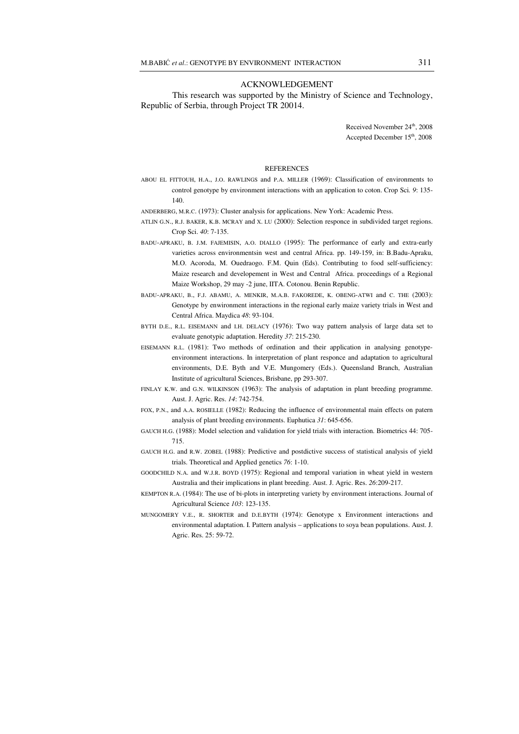### ACKNOWLEDGEMENT

 This research was supported by the Ministry of Science and Technology, Republic of Serbia, through Project TR 20014.

> Received November 24<sup>th</sup>, 2008 Accepted December 15<sup>th</sup>, 2008

### **REFERENCES**

- ABOU EL FITTOUH, H.A., J.O. RAWLINGS and P.A. MILLER (1969): Classification of environments to control genotype by environment interactions with an application to coton. Crop Sci*. 9*: 135- 140.
- ANDERBERG, M.R.C. (1973): Cluster analysis for applications. New York: Academic Press.
- ATLIN G.N., R.J. BAKER, K.B. MCRAY and X. LU (2000): Selection responce in subdivided target regions. Crop Sci. *40*: 7-135.
- BADU-APRAKU, B. J.M. FAJEMISIN, A.O. DIALLO (1995): The performance of early and extra-early varieties across environmentsin west and central Africa. pp. 149-159, in: B.Badu-Apraku, M.O. Acoroda, M. Ouedraogo. F.M. Quin (Eds). Contributing to food self-sufficiency: Maize research and developement in West and Central Africa. proceedings of a Regional Maize Workshop, 29 may -2 june, IITA. Cotonou. Benin Republic.
- BADU-APRAKU, B., F.J. ABAMU, A. MENKIR, M.A.B. FAKOREDE, K. OBENG-ATWI and C. THE (2003): Genotype by enwironment interactions in the regional early maize variety trials in West and Central Africa. Maydica *48*: 93-104.
- BYTH D.E., R.L. EISEMANN and I.H. DELACY (1976): Two way pattern analysis of large data set to evaluate genotypic adaptation. Heredity *37*: 215-230.
- EISEMANN R.L. (1981): Two methods of ordination and their application in analysing genotypeenvironment interactions. In interpretation of plant responce and adaptation to agricultural environments, D.E. Byth and V.E. Mungomery (Eds.). Queensland Branch, Australian Institute of agricultural Sciences, Brisbane, pp 293-307.
- FINLAY K.W. and G.N. WILKINSON (1963): The analysis of adaptation in plant breeding programme. Aust. J. Agric. Res. *14*: 742-754.
- FOX, P.N., and A.A. ROSIELLE (1982): Reducing the influence of environmental main effects on patern analysis of plant breeding environments. Euphutica *31*: 645-656.
- GAUCH H.G. (1988): Model selection and validation for yield trials with interaction. Biometrics 44: 705- 715.
- GAUCH H.G. and R.W. ZOBEL (1988): Predictive and postdictive success of statistical analysis of yield trials. Theoretical and Applied genetics *76*: 1-10.
- GOODCHILD N.A. and W.J.R. BOYD (1975): Regional and temporal variation in wheat yield in western Australia and their implications in plant breeding. Aust. J. Agric. Res. *26*:209-217.
- KEMPTON R.A. (1984): The use of bi-plots in interpreting variety by environment interactions. Journal of Agricultural Science *103*: 123-135.
- MUNGOMERY V.E., R. SHORTER and D.E.BYTH (1974): Genotype x Environment interactions and environmental adaptation. I. Pattern analysis – applications to soya bean populations. Aust. J. Agric. Res. 25: 59-72.